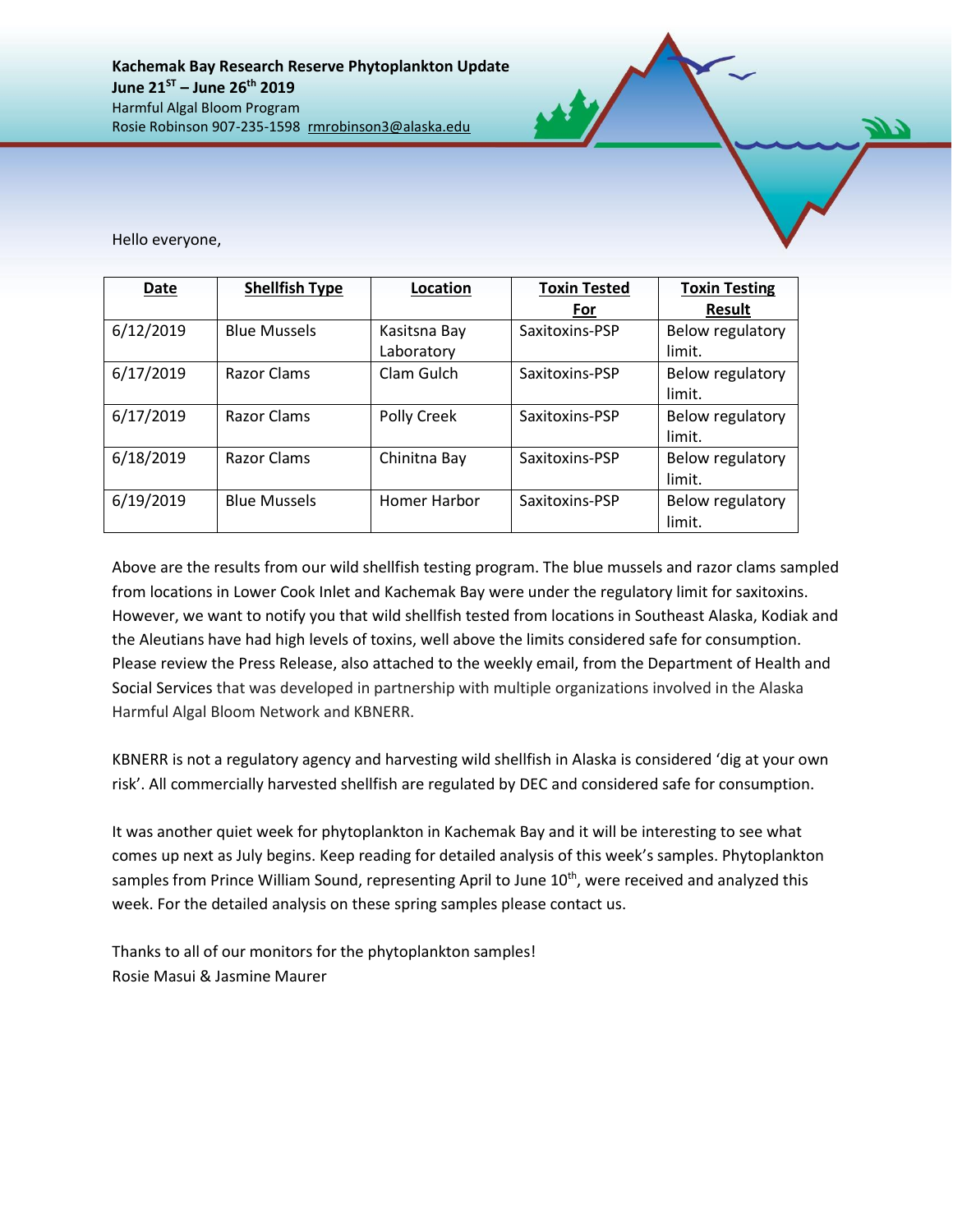Hello everyone,

| Date      | <b>Shellfish Type</b> | Location                   | <b>Toxin Tested</b> | <b>Toxin Testing</b>       |
|-----------|-----------------------|----------------------------|---------------------|----------------------------|
|           |                       |                            | For                 | <b>Result</b>              |
| 6/12/2019 | <b>Blue Mussels</b>   | Kasitsna Bay<br>Laboratory | Saxitoxins-PSP      | Below regulatory<br>limit. |
| 6/17/2019 | Razor Clams           | Clam Gulch                 | Saxitoxins-PSP      | Below regulatory<br>limit. |
| 6/17/2019 | Razor Clams           | Polly Creek                | Saxitoxins-PSP      | Below regulatory<br>limit. |
| 6/18/2019 | <b>Razor Clams</b>    | Chinitna Bay               | Saxitoxins-PSP      | Below regulatory<br>limit. |
| 6/19/2019 | <b>Blue Mussels</b>   | Homer Harbor               | Saxitoxins-PSP      | Below regulatory<br>limit. |

Above are the results from our wild shellfish testing program. The blue mussels and razor clams sampled from locations in Lower Cook Inlet and Kachemak Bay were under the regulatory limit for saxitoxins. However, we want to notify you that wild shellfish tested from locations in Southeast Alaska, Kodiak and the Aleutians have had high levels of toxins, well above the limits considered safe for consumption. Please review the Press Release, also attached to the weekly email, from the Department of Health and Social Services that was developed in partnership with multiple organizations involved in the Alaska Harmful Algal Bloom Network and KBNERR.

KBNERR is not a regulatory agency and harvesting wild shellfish in Alaska is considered 'dig at your own risk'. All commercially harvested shellfish are regulated by DEC and considered safe for consumption.

It was another quiet week for phytoplankton in Kachemak Bay and it will be interesting to see what comes up next as July begins. Keep reading for detailed analysis of this week's samples. Phytoplankton samples from Prince William Sound, representing April to June 10<sup>th</sup>, were received and analyzed this week. For the detailed analysis on these spring samples please contact us.

Thanks to all of our monitors for the phytoplankton samples! Rosie Masui & Jasmine Maurer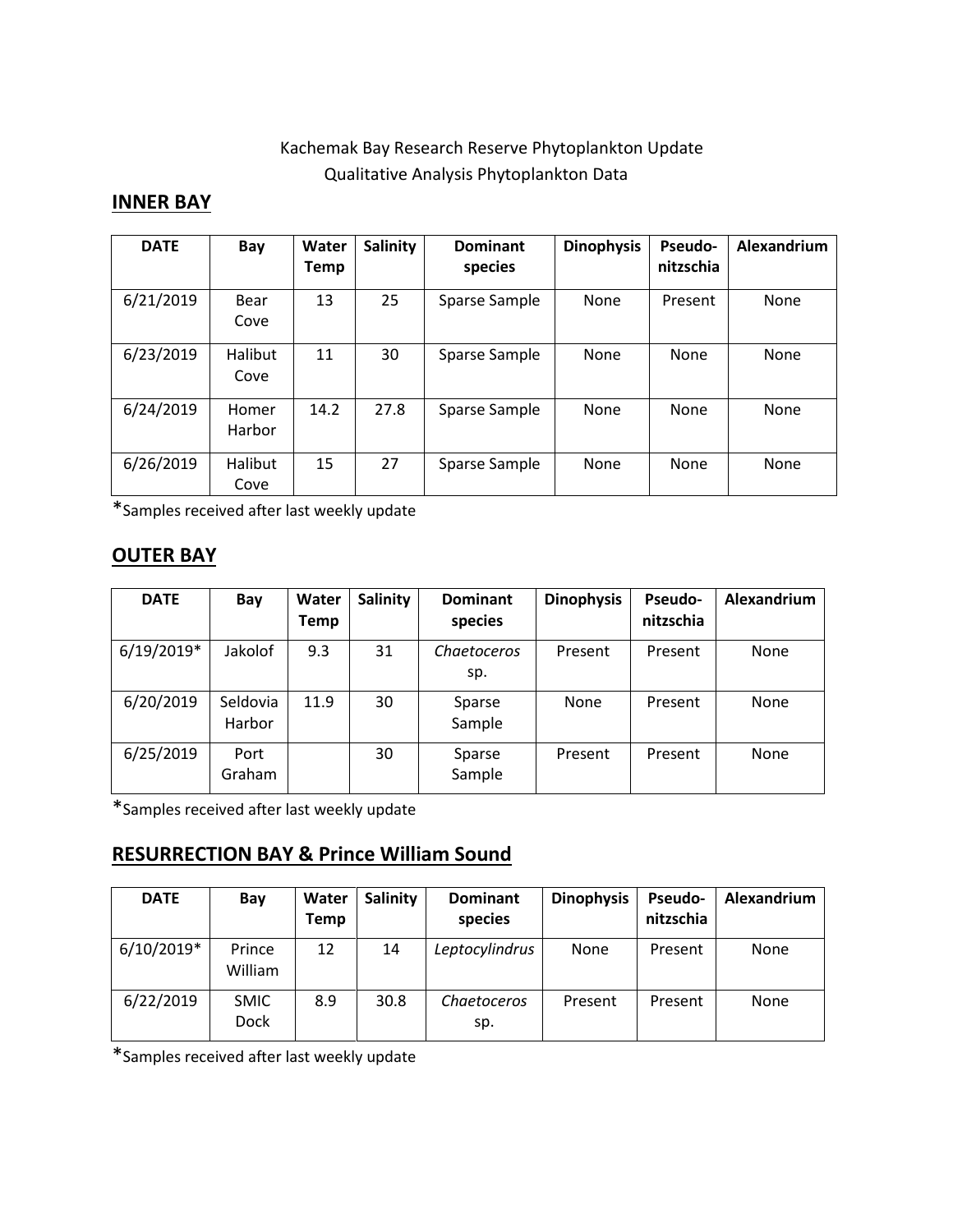## Kachemak Bay Research Reserve Phytoplankton Update Qualitative Analysis Phytoplankton Data

## **INNER BAY**

| <b>DATE</b> | Bay                    | Water<br><b>Temp</b> | <b>Salinity</b> | <b>Dominant</b><br>species | <b>Dinophysis</b> | <b>Pseudo-</b><br>nitzschia | Alexandrium |
|-------------|------------------------|----------------------|-----------------|----------------------------|-------------------|-----------------------------|-------------|
| 6/21/2019   | Bear<br>Cove           | 13                   | 25              | Sparse Sample              | None              | Present                     | None        |
| 6/23/2019   | <b>Halibut</b><br>Cove | 11                   | 30              | Sparse Sample              | None              | <b>None</b>                 | None        |
| 6/24/2019   | Homer<br>Harbor        | 14.2                 | 27.8            | Sparse Sample              | None              | <b>None</b>                 | None        |
| 6/26/2019   | Halibut<br>Cove        | 15                   | 27              | Sparse Sample              | None              | <b>None</b>                 | None        |

\*Samples received after last weekly update

## **OUTER BAY**

| <b>DATE</b>  | Bay                | Water<br>Temp | Salinity | <b>Dominant</b><br>species | <b>Dinophysis</b> | <b>Pseudo-</b><br>nitzschia | Alexandrium |
|--------------|--------------------|---------------|----------|----------------------------|-------------------|-----------------------------|-------------|
| $6/19/2019*$ | Jakolof            | 9.3           | 31       | Chaetoceros<br>sp.         | Present           | Present                     | None        |
| 6/20/2019    | Seldovia<br>Harbor | 11.9          | 30       | Sparse<br>Sample           | None              | Present                     | None        |
| 6/25/2019    | Port<br>Graham     |               | 30       | Sparse<br>Sample           | Present           | Present                     | None        |

\*Samples received after last weekly update

## **RESURRECTION BAY & Prince William Sound**

| <b>DATE</b>  | Bay                        | Water<br>Temp | Salinity | <b>Dominant</b><br>species | <b>Dinophysis</b> | <b>Pseudo-</b><br>nitzschia | Alexandrium |
|--------------|----------------------------|---------------|----------|----------------------------|-------------------|-----------------------------|-------------|
| $6/10/2019*$ | Prince<br>William          | 12            | 14       | Leptocylindrus             | None              | Present                     | None        |
| 6/22/2019    | <b>SMIC</b><br><b>Dock</b> | 8.9           | 30.8     | Chaetoceros<br>sp.         | Present           | Present                     | None        |

\*Samples received after last weekly update